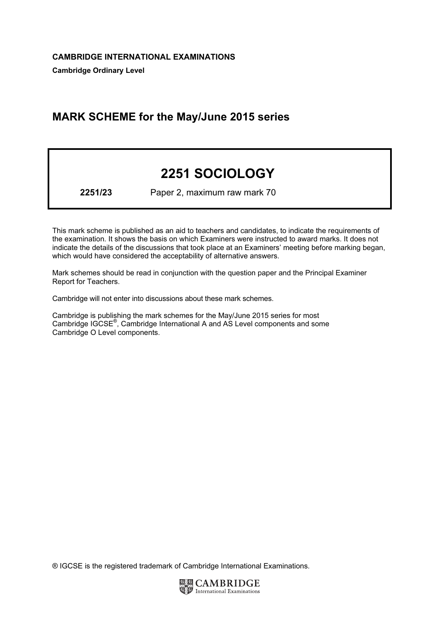# MARK SCHEME for the May/June 2015 series

# 2251 SOCIOLOGY

2251/23 Paper 2, maximum raw mark 70

This mark scheme is published as an aid to teachers and candidates, to indicate the requirements of the examination. It shows the basis on which Examiners were instructed to award marks. It does not indicate the details of the discussions that took place at an Examiners' meeting before marking began, which would have considered the acceptability of alternative answers.

Mark schemes should be read in conjunction with the question paper and the Principal Examiner Report for Teachers.

Cambridge will not enter into discussions about these mark schemes.

Cambridge is publishing the mark schemes for the May/June 2015 series for most Cambridge IGCSE*®* , Cambridge International A and AS Level components and some Cambridge O Level components.

® IGCSE is the registered trademark of Cambridge International Examinations.

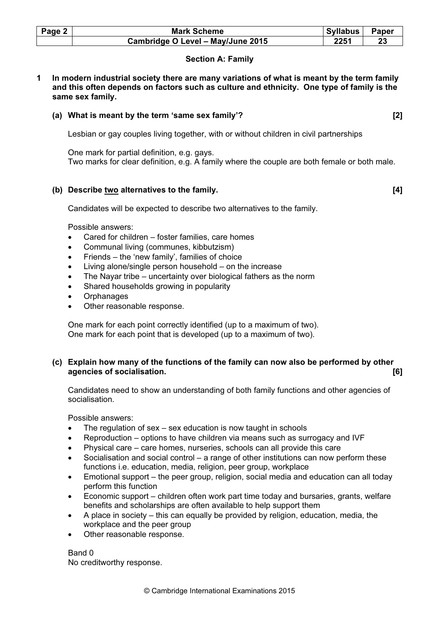| Page 2 | <b>Mark Scheme</b>                | <b>Syllabus</b> | Paper |
|--------|-----------------------------------|-----------------|-------|
|        | Cambridge O Level - May/June 2015 | 2251            |       |

# Section A: Family

1 In modern industrial society there are many variations of what is meant by the term family and this often depends on factors such as culture and ethnicity. One type of family is the same sex family.

# (a) What is meant by the term 'same sex family'? [2]

Lesbian or gay couples living together, with or without children in civil partnerships

 One mark for partial definition, e.g. gays. Two marks for clear definition, e.g. A family where the couple are both female or both male.

# (b) Describe two alternatives to the family. (b)  $\blacksquare$  [4]

Candidates will be expected to describe two alternatives to the family.

Possible answers:

- Cared for children foster families, care homes
- Communal living (communes, kibbutzism)
- Friends the 'new family', families of choice
- Living alone/single person household  $-$  on the increase
- The Nayar tribe uncertainty over biological fathers as the norm
- Shared households growing in popularity
- **Orphanages**
- Other reasonable response.

 One mark for each point correctly identified (up to a maximum of two). One mark for each point that is developed (up to a maximum of two).

# (c) Explain how many of the functions of the family can now also be performed by other agencies of socialisation. [6]

Candidates need to show an understanding of both family functions and other agencies of socialisation.

Possible answers:

- The regulation of sex sex education is now taught in schools
- Reproduction options to have children via means such as surrogacy and IVF
- Physical care care homes, nurseries, schools can all provide this care
- Socialisation and social control a range of other institutions can now perform these functions i.e. education, media, religion, peer group, workplace
- Emotional support the peer group, religion, social media and education can all today perform this function
- Economic support children often work part time today and bursaries, grants, welfare benefits and scholarships are often available to help support them
- A place in society this can equally be provided by religion, education, media, the workplace and the peer group
- Other reasonable response.

Band 0 No creditworthy response.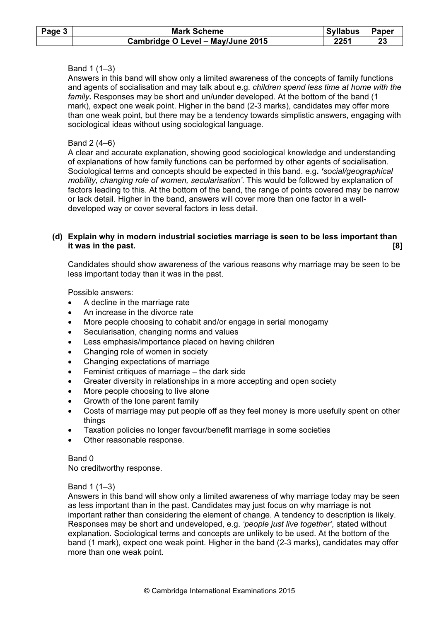| Page $3$ | <b>Mark Scheme</b>                | Syllabus | Paper |
|----------|-----------------------------------|----------|-------|
|          | Cambridge O Level - May/June 2015 | 2251     | 23    |

# Band 1 (1–3)

Answers in this band will show only a limited awareness of the concepts of family functions and agents of socialisation and may talk about e.g. children spend less time at home with the family. Responses may be short and un/under developed. At the bottom of the band (1 mark), expect one weak point. Higher in the band (2-3 marks), candidates may offer more than one weak point, but there may be a tendency towards simplistic answers, engaging with sociological ideas without using sociological language.

#### Band 2 (4–6)

A clear and accurate explanation, showing good sociological knowledge and understanding of explanations of how family functions can be performed by other agents of socialisation. Sociological terms and concepts should be expected in this band. e.g. 'social/geographical mobility, changing role of women, secularisation'. This would be followed by explanation of factors leading to this. At the bottom of the band, the range of points covered may be narrow or lack detail. Higher in the band, answers will cover more than one factor in a welldeveloped way or cover several factors in less detail.

#### (d) Explain why in modern industrial societies marriage is seen to be less important than it was in the past. [8] in the past.

Candidates should show awareness of the various reasons why marriage may be seen to be less important today than it was in the past.

Possible answers:

- A decline in the marriage rate
- An increase in the divorce rate
- More people choosing to cohabit and/or engage in serial monogamy
- Secularisation, changing norms and values
- Less emphasis/importance placed on having children
- Changing role of women in society
- Changing expectations of marriage
- Feminist critiques of marriage  $-$  the dark side
- Greater diversity in relationships in a more accepting and open society
- More people choosing to live alone
- Growth of the lone parent family
- Costs of marriage may put people off as they feel money is more usefully spent on other things
- Taxation policies no longer favour/benefit marriage in some societies
- Other reasonable response.

#### Band 0

No creditworthy response.

#### Band 1 (1–3)

Answers in this band will show only a limited awareness of why marriage today may be seen as less important than in the past. Candidates may just focus on why marriage is not important rather than considering the element of change. A tendency to description is likely. Responses may be short and undeveloped, e.g. 'people just live together', stated without explanation. Sociological terms and concepts are unlikely to be used. At the bottom of the band (1 mark), expect one weak point. Higher in the band (2-3 marks), candidates may offer more than one weak point.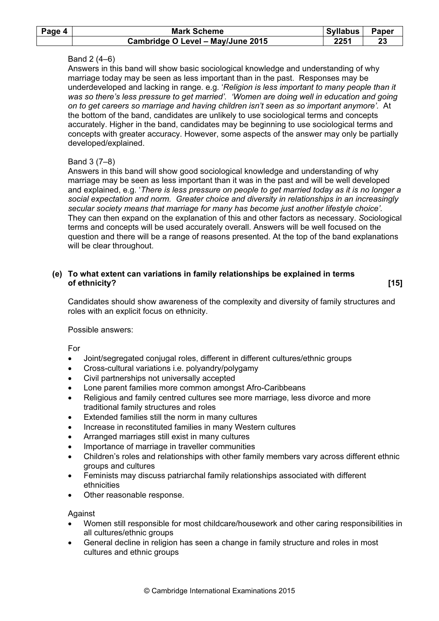| Page 4 | <b>Mark Scheme</b>                | Syllabus | Paper |
|--------|-----------------------------------|----------|-------|
|        | Cambridge O Level - May/June 2015 | 2251     | 23    |

# Band 2 (4–6)

Answers in this band will show basic sociological knowledge and understanding of why marriage today may be seen as less important than in the past. Responses may be underdeveloped and lacking in range. e.g. 'Religion is less important to many people than it was so there's less pressure to get married'. 'Women are doing well in education and going on to get careers so marriage and having children isn't seen as so important anymore'. At the bottom of the band, candidates are unlikely to use sociological terms and concepts accurately. Higher in the band, candidates may be beginning to use sociological terms and concepts with greater accuracy. However, some aspects of the answer may only be partially developed/explained.

# Band 3 (7–8)

Answers in this band will show good sociological knowledge and understanding of why marriage may be seen as less important than it was in the past and will be well developed and explained, e.g. 'There is less pressure on people to get married today as it is no longer a social expectation and norm. Greater choice and diversity in relationships in an increasingly secular society means that marriage for many has become just another lifestyle choice'. They can then expand on the explanation of this and other factors as necessary. Sociological terms and concepts will be used accurately overall. Answers will be well focused on the question and there will be a range of reasons presented. At the top of the band explanations will be clear throughout.

# (e) To what extent can variations in family relationships be explained in terms of ethnicity? [15]

Candidates should show awareness of the complexity and diversity of family structures and roles with an explicit focus on ethnicity.

#### Possible answers:

For

- Joint/segregated conjugal roles, different in different cultures/ethnic groups
- Cross-cultural variations i.e. polyandry/polygamy
- Civil partnerships not universally accepted
- Lone parent families more common amongst Afro-Caribbeans
- Religious and family centred cultures see more marriage, less divorce and more traditional family structures and roles
- Extended families still the norm in many cultures
- Increase in reconstituted families in many Western cultures
- Arranged marriages still exist in many cultures
- Importance of marriage in traveller communities
- Children's roles and relationships with other family members vary across different ethnic groups and cultures
- Feminists may discuss patriarchal family relationships associated with different ethnicities
- Other reasonable response.

#### Against

- Women still responsible for most childcare/housework and other caring responsibilities in all cultures/ethnic groups
- General decline in religion has seen a change in family structure and roles in most cultures and ethnic groups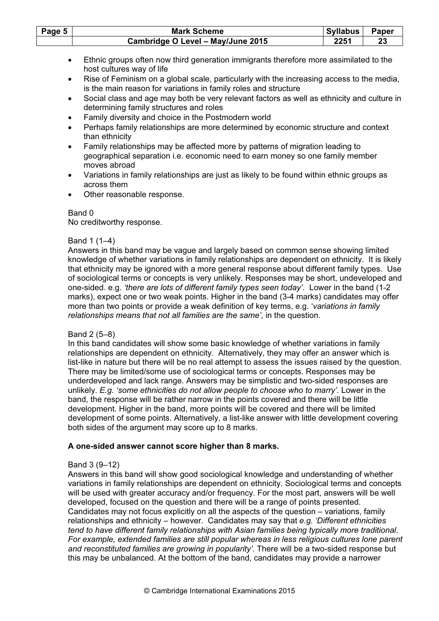| Page 5 | <b>Mark Scheme</b>                | Syllabus | <b>Paper</b> |
|--------|-----------------------------------|----------|--------------|
|        | Cambridge O Level - May/June 2015 | 2251     |              |

- Ethnic groups often now third generation immigrants therefore more assimilated to the host cultures way of life
- Rise of Feminism on a global scale, particularly with the increasing access to the media, is the main reason for variations in family roles and structure
- Social class and age may both be very relevant factors as well as ethnicity and culture in determining family structures and roles
- Family diversity and choice in the Postmodern world
- Perhaps family relationships are more determined by economic structure and context than ethnicity
- Family relationships may be affected more by patterns of migration leading to geographical separation i.e. economic need to earn money so one family member moves abroad
- Variations in family relationships are just as likely to be found within ethnic groups as across them
- Other reasonable response.

#### Band 0

No creditworthy response.

#### Band 1 (1–4)

Answers in this band may be vague and largely based on common sense showing limited knowledge of whether variations in family relationships are dependent on ethnicity. It is likely that ethnicity may be ignored with a more general response about different family types. Use of sociological terms or concepts is very unlikely. Responses may be short, undeveloped and one-sided. e.g. 'there are lots of different family types seen today'. Lower in the band (1-2 marks), expect one or two weak points. Higher in the band (3-4 marks) candidates may offer more than two points or provide a weak definition of key terms, e.g. 'variations in family relationships means that not all families are the same', in the question.

# Band 2 (5–8)

In this band candidates will show some basic knowledge of whether variations in family relationships are dependent on ethnicity. Alternatively, they may offer an answer which is list-like in nature but there will be no real attempt to assess the issues raised by the question. There may be limited/some use of sociological terms or concepts. Responses may be underdeveloped and lack range. Answers may be simplistic and two-sided responses are unlikely. E.g. 'some ethnicities do not allow people to choose who to marry'. Lower in the band, the response will be rather narrow in the points covered and there will be little development. Higher in the band, more points will be covered and there will be limited development of some points. Alternatively, a list-like answer with little development covering both sides of the argument may score up to 8 marks.

# A one-sided answer cannot score higher than 8 marks.

# Band 3 (9–12)

Answers in this band will show good sociological knowledge and understanding of whether variations in family relationships are dependent on ethnicity. Sociological terms and concepts will be used with greater accuracy and/or frequency. For the most part, answers will be well developed, focused on the question and there will be a range of points presented. Candidates may not focus explicitly on all the aspects of the question – variations, family relationships and ethnicity – however. Candidates may say that e.g. 'Different ethnicities tend to have different family relationships with Asian families being typically more traditional. For example, extended families are still popular whereas in less religious cultures lone parent and reconstituted families are growing in popularity'. There will be a two-sided response but this may be unbalanced. At the bottom of the band, candidates may provide a narrower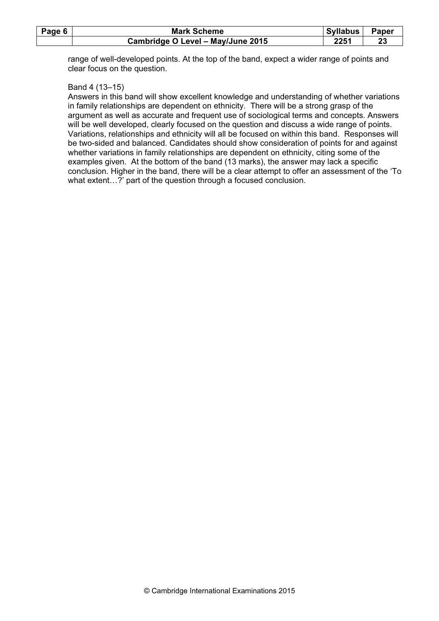| Page 6 | <b>Mark Scheme</b>                | <b>Syllabus</b> | Paper |
|--------|-----------------------------------|-----------------|-------|
|        | Cambridge O Level - May/June 2015 | 2251            |       |

range of well-developed points. At the top of the band, expect a wider range of points and clear focus on the question.

#### Band 4 (13–15)

Answers in this band will show excellent knowledge and understanding of whether variations in family relationships are dependent on ethnicity. There will be a strong grasp of the argument as well as accurate and frequent use of sociological terms and concepts. Answers will be well developed, clearly focused on the question and discuss a wide range of points. Variations, relationships and ethnicity will all be focused on within this band. Responses will be two-sided and balanced. Candidates should show consideration of points for and against whether variations in family relationships are dependent on ethnicity, citing some of the examples given. At the bottom of the band (13 marks), the answer may lack a specific conclusion. Higher in the band, there will be a clear attempt to offer an assessment of the 'To what extent…?' part of the question through a focused conclusion.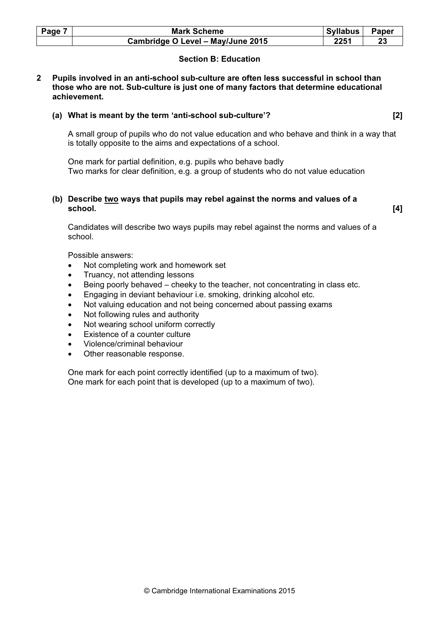| Page 7 | <b>Mark Scheme</b>                | <b>Syllabus</b> | Paper |
|--------|-----------------------------------|-----------------|-------|
|        | Cambridge O Level - May/June 2015 | 2251            |       |

# Section B: Education

#### 2 Pupils involved in an anti-school sub-culture are often less successful in school than those who are not. Sub-culture is just one of many factors that determine educational achievement.

#### (a) What is meant by the term 'anti-school sub-culture'? [2]

A small group of pupils who do not value education and who behave and think in a way that is totally opposite to the aims and expectations of a school.

One mark for partial definition, e.g. pupils who behave badly Two marks for clear definition, e.g. a group of students who do not value education

#### (b) Describe  $\underline{two}$  ways that pupils may rebel against the norms and values of a school. school. [4]

Candidates will describe two ways pupils may rebel against the norms and values of a school.

Possible answers:

- Not completing work and homework set
- Truancy, not attending lessons
- Being poorly behaved cheeky to the teacher, not concentrating in class etc.
- Engaging in deviant behaviour i.e. smoking, drinking alcohol etc.
- Not valuing education and not being concerned about passing exams
- Not following rules and authority
- Not wearing school uniform correctly
- Existence of a counter culture
- Violence/criminal behaviour
- Other reasonable response.

One mark for each point correctly identified (up to a maximum of two). One mark for each point that is developed (up to a maximum of two).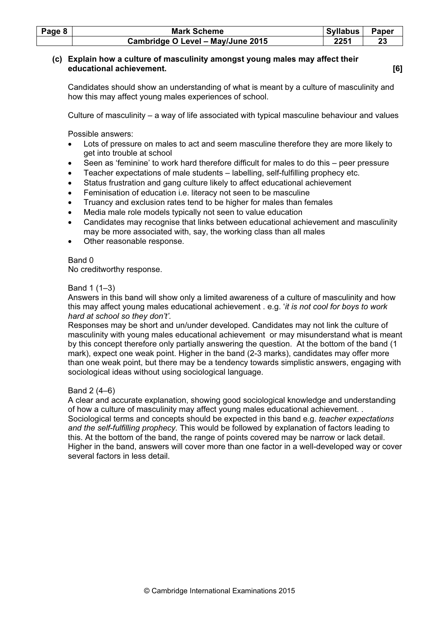| Page 8 | <b>Mark Scheme</b>                | Syllabus | <b>Paper</b> |
|--------|-----------------------------------|----------|--------------|
|        | Cambridge O Level - May/June 2015 | 2251     |              |

# (c) Explain how a culture of masculinity amongst young males may affect their educational achievement. [6]

Candidates should show an understanding of what is meant by a culture of masculinity and how this may affect young males experiences of school.

Culture of masculinity – a way of life associated with typical masculine behaviour and values

Possible answers:

- Lots of pressure on males to act and seem masculine therefore they are more likely to get into trouble at school
- Seen as 'feminine' to work hard therefore difficult for males to do this peer pressure
- Teacher expectations of male students labelling, self-fulfilling prophecy etc.
- Status frustration and gang culture likely to affect educational achievement
- Feminisation of education i.e. literacy not seen to be masculine
- Truancy and exclusion rates tend to be higher for males than females
- Media male role models typically not seen to value education
- Candidates may recognise that links between educational achievement and masculinity may be more associated with, say, the working class than all males
- Other reasonable response.

# Band 0

No creditworthy response.

# Band 1 (1–3)

Answers in this band will show only a limited awareness of a culture of masculinity and how this may affect young males educational achievement . e.g. 'it is not cool for boys to work hard at school so they don't'.

Responses may be short and un/under developed. Candidates may not link the culture of masculinity with young males educational achievement or may misunderstand what is meant by this concept therefore only partially answering the question. At the bottom of the band (1 mark), expect one weak point. Higher in the band (2-3 marks), candidates may offer more than one weak point, but there may be a tendency towards simplistic answers, engaging with sociological ideas without using sociological language.

# Band 2 (4–6)

A clear and accurate explanation, showing good sociological knowledge and understanding of how a culture of masculinity may affect young males educational achievement. . Sociological terms and concepts should be expected in this band e.g. teacher expectations and the self-fulfilling prophecy. This would be followed by explanation of factors leading to this. At the bottom of the band, the range of points covered may be narrow or lack detail. Higher in the band, answers will cover more than one factor in a well-developed way or cover several factors in less detail.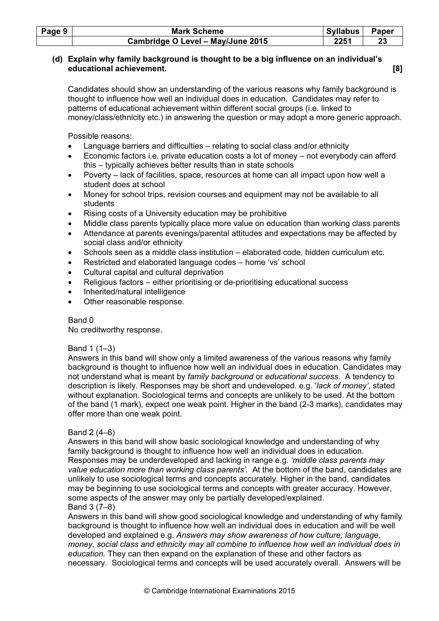| Page 9 | <b>Mark Scheme</b>                | Syllabus | Paper |
|--------|-----------------------------------|----------|-------|
|        | Cambridge O Level - May/June 2015 | 2251     |       |

# (d) Explain why family background is thought to be a big influence on an individual's educational achievement. [8]

Candidates should show an understanding of the various reasons why family background is thought to influence how well an individual does in education. Candidates may refer to patterns of educational achievement within different social groups (i.e. linked to money/class/ethnicity etc.) in answering the question or may adopt a more generic approach.

Possible reasons:

- Language barriers and difficulties relating to social class and/or ethnicity
- Economic factors i.e. private education costs a lot of money not everybody can afford this – typically achieves better results than in state schools
- Poverty lack of facilities, space, resources at home can all impact upon how well a student does at school
- Money for school trips, revision courses and equipment may not be available to all students
- Rising costs of a University education may be prohibitive
- Middle class parents typically place more value on education than working class parents
- Attendance at parents evenings/parental attitudes and expectations may be affected by social class and/or ethnicity
- Schools seen as a middle class institution elaborated code, hidden curriculum etc.
- Restricted and elaborated language codes home 'vs' school
- Cultural capital and cultural deprivation
- Religious factors either prioritising or de-prioritising educational success
- Inherited/natural intelligence
- Other reasonable response.

# Band 0

No creditworthy response.

# Band 1 (1–3)

Answers in this band will show only a limited awareness of the various reasons why family background is thought to influence how well an individual does in education. Candidates may not understand what is meant by family background or educational success. A tendency to description is likely. Responses may be short and undeveloped. e.g. 'lack of money', stated without explanation. Sociological terms and concepts are unlikely to be used. At the bottom of the band (1 mark), expect one weak point. Higher in the band (2-3 marks), candidates may offer more than one weak point.

# Band 2 (4–6)

Answers in this band will show basic sociological knowledge and understanding of why family background is thought to influence how well an individual does in education. Responses may be underdeveloped and lacking in range e.g. 'middle class parents may value education more than working class parents'. At the bottom of the band, candidates are unlikely to use sociological terms and concepts accurately. Higher in the band, candidates may be beginning to use sociological terms and concepts with greater accuracy. However, some aspects of the answer may only be partially developed/explained. Band 3 (7–8)

Answers in this band will show good sociological knowledge and understanding of why family background is thought to influence how well an individual does in education and will be well developed and explained e.g. Answers may show awareness of how culture, language, money, social class and ethnicity may all combine to influence how well an individual does in education. They can then expand on the explanation of these and other factors as necessary. Sociological terms and concepts will be used accurately overall. Answers will be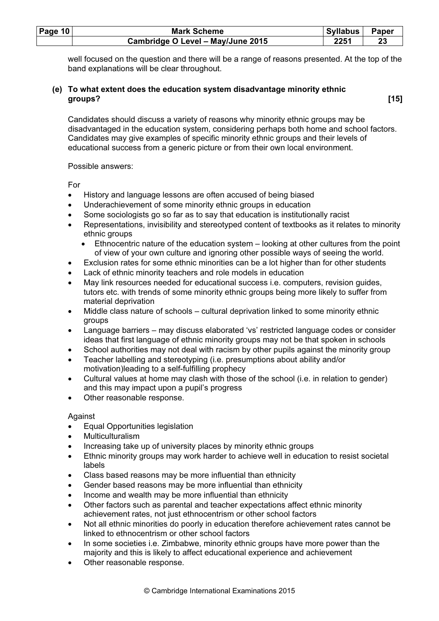| Page 10 | <b>Mark Scheme</b>                | <b>Syllabus</b> | Paper |
|---------|-----------------------------------|-----------------|-------|
|         | Cambridge O Level - May/June 2015 | 2251            |       |

well focused on the question and there will be a range of reasons presented. At the top of the band explanations will be clear throughout.

#### (e) To what extent does the education system disadvantage minority ethnic groups? [15]

Candidates should discuss a variety of reasons why minority ethnic groups may be disadvantaged in the education system, considering perhaps both home and school factors. Candidates may give examples of specific minority ethnic groups and their levels of educational success from a generic picture or from their own local environment.

Possible answers:

For

- History and language lessons are often accused of being biased
- Underachievement of some minority ethnic groups in education
- Some sociologists go so far as to say that education is institutionally racist
- Representations, invisibility and stereotyped content of textbooks as it relates to minority ethnic groups
	- Ethnocentric nature of the education system looking at other cultures from the point of view of your own culture and ignoring other possible ways of seeing the world.
- Exclusion rates for some ethnic minorities can be a lot higher than for other students
- Lack of ethnic minority teachers and role models in education
- May link resources needed for educational success i.e. computers, revision guides, tutors etc. with trends of some minority ethnic groups being more likely to suffer from material deprivation
- Middle class nature of schools cultural deprivation linked to some minority ethnic groups
- Language barriers may discuss elaborated 'vs' restricted language codes or consider ideas that first language of ethnic minority groups may not be that spoken in schools
- School authorities may not deal with racism by other pupils against the minority group
- Teacher labelling and stereotyping (i.e. presumptions about ability and/or motivation)leading to a self-fulfilling prophecy
- Cultural values at home may clash with those of the school (i.e. in relation to gender) and this may impact upon a pupil's progress
- Other reasonable response.

Against

- Equal Opportunities legislation
- Multiculturalism
- Increasing take up of university places by minority ethnic groups
- Ethnic minority groups may work harder to achieve well in education to resist societal labels
- Class based reasons may be more influential than ethnicity
- Gender based reasons may be more influential than ethnicity
- Income and wealth may be more influential than ethnicity
- Other factors such as parental and teacher expectations affect ethnic minority achievement rates, not just ethnocentrism or other school factors
- Not all ethnic minorities do poorly in education therefore achievement rates cannot be linked to ethnocentrism or other school factors
- In some societies i.e. Zimbabwe, minority ethnic groups have more power than the majority and this is likely to affect educational experience and achievement
- Other reasonable response.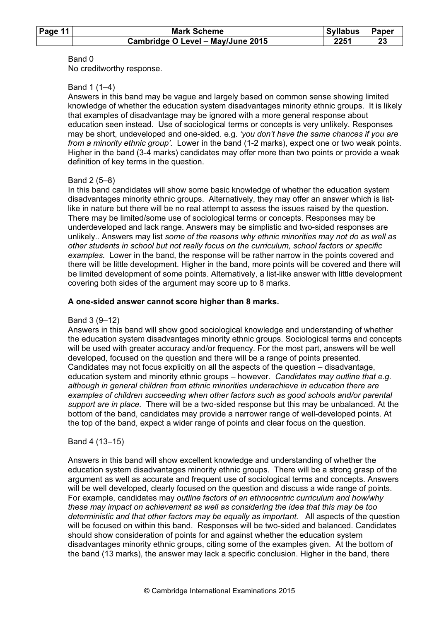| Page 11 | <b>Mark Scheme</b>                | Syllabus | Paper |
|---------|-----------------------------------|----------|-------|
|         | Cambridge O Level - May/June 2015 | 2251     |       |

#### Band 0

No creditworthy response.

# Band 1 (1–4)

Answers in this band may be vague and largely based on common sense showing limited knowledge of whether the education system disadvantages minority ethnic groups. It is likely that examples of disadvantage may be ignored with a more general response about education seen instead. Use of sociological terms or concepts is very unlikely. Responses may be short, undeveloped and one-sided. e.g. 'you don't have the same chances if you are from a minority ethnic group'. Lower in the band (1-2 marks), expect one or two weak points. Higher in the band (3-4 marks) candidates may offer more than two points or provide a weak definition of key terms in the question.

#### Band 2 (5–8)

In this band candidates will show some basic knowledge of whether the education system disadvantages minority ethnic groups. Alternatively, they may offer an answer which is listlike in nature but there will be no real attempt to assess the issues raised by the question. There may be limited/some use of sociological terms or concepts. Responses may be underdeveloped and lack range. Answers may be simplistic and two-sided responses are unlikely.. Answers may list some of the reasons why ethnic minorities may not do as well as other students in school but not really focus on the curriculum, school factors or specific examples. Lower in the band, the response will be rather narrow in the points covered and there will be little development. Higher in the band, more points will be covered and there will be limited development of some points. Alternatively, a list-like answer with little development covering both sides of the argument may score up to 8 marks.

#### A one-sided answer cannot score higher than 8 marks.

# Band 3 (9–12)

Answers in this band will show good sociological knowledge and understanding of whether the education system disadvantages minority ethnic groups. Sociological terms and concepts will be used with greater accuracy and/or frequency. For the most part, answers will be well developed, focused on the question and there will be a range of points presented. Candidates may not focus explicitly on all the aspects of the question – disadvantage, education system and minority ethnic groups – however. Candidates may outline that e.g. although in general children from ethnic minorities underachieve in education there are examples of children succeeding when other factors such as good schools and/or parental support are in place. There will be a two-sided response but this may be unbalanced. At the bottom of the band, candidates may provide a narrower range of well-developed points. At the top of the band, expect a wider range of points and clear focus on the question.

# Band 4 (13–15)

Answers in this band will show excellent knowledge and understanding of whether the education system disadvantages minority ethnic groups. There will be a strong grasp of the argument as well as accurate and frequent use of sociological terms and concepts. Answers will be well developed, clearly focused on the question and discuss a wide range of points. For example, candidates may outline factors of an ethnocentric curriculum and how/why these may impact on achievement as well as considering the idea that this may be too deterministic and that other factors may be equally as important. All aspects of the question will be focused on within this band. Responses will be two-sided and balanced. Candidates should show consideration of points for and against whether the education system disadvantages minority ethnic groups, citing some of the examples given. At the bottom of the band (13 marks), the answer may lack a specific conclusion. Higher in the band, there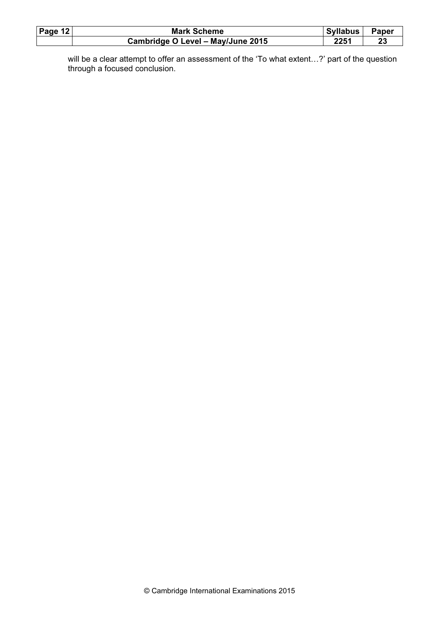| Page $12$ | <b>Mark Scheme</b>                | <b>Syllabus</b> | Paper |
|-----------|-----------------------------------|-----------------|-------|
|           | Cambridge O Level - May/June 2015 | 2251            | 23    |

will be a clear attempt to offer an assessment of the 'To what extent…?' part of the question through a focused conclusion.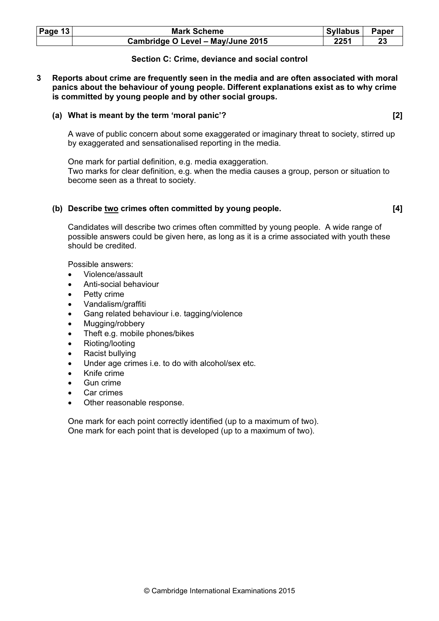| Page $13$ | <b>Mark Scheme</b>                | Syllabus | Paper |
|-----------|-----------------------------------|----------|-------|
|           | Cambridge O Level - May/June 2015 | 2251     |       |

#### Section C: Crime, deviance and social control

3 Reports about crime are frequently seen in the media and are often associated with moral panics about the behaviour of young people. Different explanations exist as to why crime is committed by young people and by other social groups.

#### (a) What is meant by the term 'moral panic'? [2]

 A wave of public concern about some exaggerated or imaginary threat to society, stirred up by exaggerated and sensationalised reporting in the media.

 One mark for partial definition, e.g. media exaggeration. Two marks for clear definition, e.g. when the media causes a group, person or situation to become seen as a threat to society.

#### (b) Describe two crimes often committed by young people. [4]

Candidates will describe two crimes often committed by young people. A wide range of possible answers could be given here, as long as it is a crime associated with youth these should be credited.

Possible answers:

- Violence/assault
- Anti-social behaviour
- Petty crime
- Vandalism/graffiti
- Gang related behaviour i.e. tagging/violence
- Mugging/robbery
- Theft e.g. mobile phones/bikes
- Rioting/looting
- Racist bullying
- Under age crimes i.e. to do with alcohol/sex etc.
- Knife crime
- Gun crime
- Car crimes
- Other reasonable response.

 One mark for each point correctly identified (up to a maximum of two). One mark for each point that is developed (up to a maximum of two).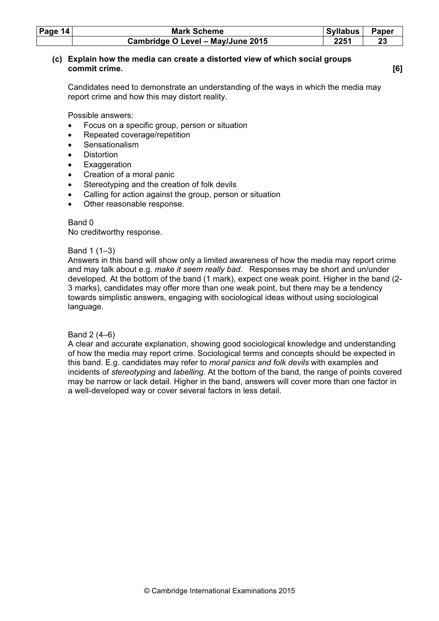| Page $14$ | <b>Mark Scheme</b>                | <b>Syllabus</b> | <b>Paper</b> |
|-----------|-----------------------------------|-----------------|--------------|
|           | Cambridge O Level - May/June 2015 | 2251            | 23           |

## (c) Explain how the media can create a distorted view of which social groups commit crime. [6]

Candidates need to demonstrate an understanding of the ways in which the media may report crime and how this may distort reality.

Possible answers:

- Focus on a specific group, person or situation
- Repeated coverage/repetition
- **Sensationalism**
- **Distortion**
- **Exaggeration**
- Creation of a moral panic
- Stereotyping and the creation of folk devils
- Calling for action against the group, person or situation
- Other reasonable response.

Band 0 No creditworthy response.

#### Band 1 (1–3)

Answers in this band will show only a limited awareness of how the media may report crime and may talk about e.g. make it seem really bad. Responses may be short and un/under developed. At the bottom of the band (1 mark), expect one weak point. Higher in the band (2- 3 marks), candidates may offer more than one weak point, but there may be a tendency towards simplistic answers, engaging with sociological ideas without using sociological language.

# Band 2 (4–6)

A clear and accurate explanation, showing good sociological knowledge and understanding of how the media may report crime. Sociological terms and concepts should be expected in this band. E.g. candidates may refer to moral panics and folk devils with examples and incidents of stereotyping and labelling. At the bottom of the band, the range of points covered may be narrow or lack detail. Higher in the band, answers will cover more than one factor in a well-developed way or cover several factors in less detail.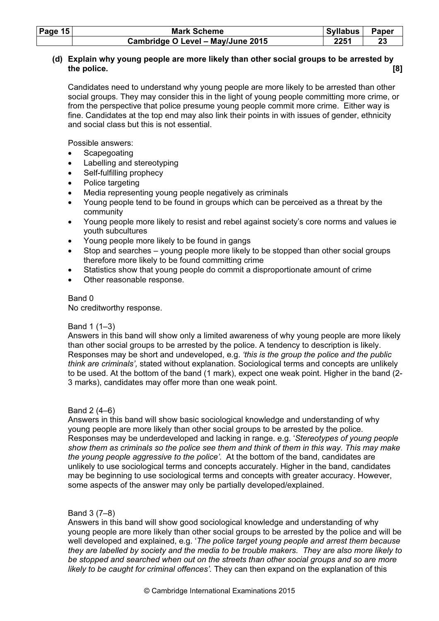| Page 15 | <b>Mark Scheme</b>                | Syllabus | Paper |
|---------|-----------------------------------|----------|-------|
|         | Cambridge O Level - May/June 2015 | 2251     |       |

# (d) Explain why young people are more likely than other social groups to be arrested by the police. [8]

Candidates need to understand why young people are more likely to be arrested than other social groups. They may consider this in the light of young people committing more crime, or from the perspective that police presume young people commit more crime. Either way is fine. Candidates at the top end may also link their points in with issues of gender, ethnicity and social class but this is not essential.

Possible answers:

- **Scapegoating**
- Labelling and stereotyping
- Self-fulfilling prophecy
- Police targeting
- Media representing young people negatively as criminals
- Young people tend to be found in groups which can be perceived as a threat by the community
- Young people more likely to resist and rebel against society's core norms and values ie youth subcultures
- Young people more likely to be found in gangs
- Stop and searches young people more likely to be stopped than other social groups therefore more likely to be found committing crime
- Statistics show that young people do commit a disproportionate amount of crime
- Other reasonable response.

# Band 0

No creditworthy response.

# Band 1 (1–3)

Answers in this band will show only a limited awareness of why young people are more likely than other social groups to be arrested by the police. A tendency to description is likely. Responses may be short and undeveloped, e.g. 'this is the group the police and the public think are criminals', stated without explanation. Sociological terms and concepts are unlikely to be used. At the bottom of the band (1 mark), expect one weak point. Higher in the band (2- 3 marks), candidates may offer more than one weak point.

# Band 2 (4–6)

Answers in this band will show basic sociological knowledge and understanding of why young people are more likely than other social groups to be arrested by the police. Responses may be underdeveloped and lacking in range. e.g. 'Stereotypes of young people show them as criminals so the police see them and think of them in this way. This may make the young people aggressive to the police'. At the bottom of the band, candidates are unlikely to use sociological terms and concepts accurately. Higher in the band, candidates may be beginning to use sociological terms and concepts with greater accuracy. However, some aspects of the answer may only be partially developed/explained.

# Band 3 (7–8)

Answers in this band will show good sociological knowledge and understanding of why young people are more likely than other social groups to be arrested by the police and will be well developed and explained, e.g. 'The police target young people and arrest them because they are labelled by society and the media to be trouble makers. They are also more likely to be stopped and searched when out on the streets than other social groups and so are more likely to be caught for criminal offences'. They can then expand on the explanation of this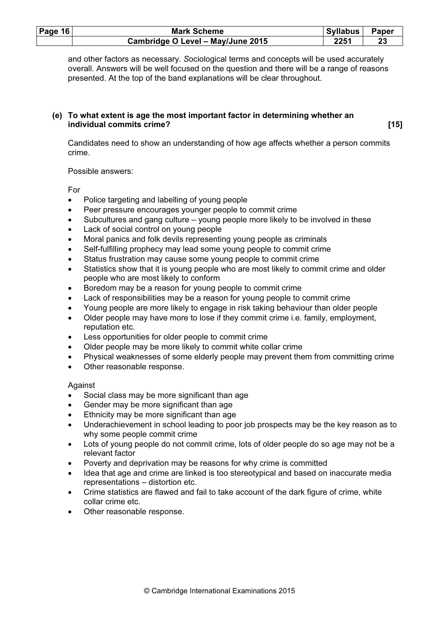| Page $16$ | <b>Mark Scheme</b>                | <b>Syllabus</b> | <b>Paper</b> |
|-----------|-----------------------------------|-----------------|--------------|
|           | Cambridge O Level - May/June 2015 | 2251            | 23           |

and other factors as necessary. Sociological terms and concepts will be used accurately overall. Answers will be well focused on the question and there will be a range of reasons presented. At the top of the band explanations will be clear throughout.

#### (e) To what extent is age the most important factor in determining whether an individual commits crime? [15]

Candidates need to show an understanding of how age affects whether a person commits crime.

Possible answers:

For

- Police targeting and labelling of young people
- Peer pressure encourages younger people to commit crime
- Subcultures and gang culture young people more likely to be involved in these
- Lack of social control on young people
- Moral panics and folk devils representing young people as criminals
- Self-fulfilling prophecy may lead some young people to commit crime
- Status frustration may cause some young people to commit crime
- Statistics show that it is young people who are most likely to commit crime and older people who are most likely to conform
- Boredom may be a reason for young people to commit crime
- Lack of responsibilities may be a reason for young people to commit crime
- Young people are more likely to engage in risk taking behaviour than older people
- Older people may have more to lose if they commit crime i.e. family, employment, reputation etc.
- Less opportunities for older people to commit crime
- Older people may be more likely to commit white collar crime
- Physical weaknesses of some elderly people may prevent them from committing crime
- Other reasonable response.

# Against

- Social class may be more significant than age
- Gender may be more significant than age
- Ethnicity may be more significant than age
- Underachievement in school leading to poor job prospects may be the key reason as to why some people commit crime
- Lots of young people do not commit crime, lots of older people do so age may not be a relevant factor
- Poverty and deprivation may be reasons for why crime is committed
- Idea that age and crime are linked is too stereotypical and based on inaccurate media representations – distortion etc.
- Crime statistics are flawed and fail to take account of the dark figure of crime, white collar crime etc.
- Other reasonable response.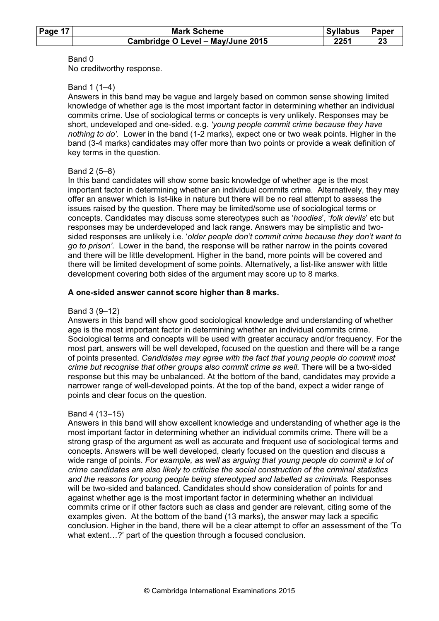| Page 17 | <b>Mark Scheme</b>                | <b>Syllabus</b> | <b>Paper</b> |
|---------|-----------------------------------|-----------------|--------------|
|         | Cambridge O Level - May/June 2015 | 2251            |              |

#### Band 0

No creditworthy response.

# Band 1 (1–4)

Answers in this band may be vague and largely based on common sense showing limited knowledge of whether age is the most important factor in determining whether an individual commits crime. Use of sociological terms or concepts is very unlikely. Responses may be short, undeveloped and one-sided. e.g. 'young people commit crime because they have nothing to do'. Lower in the band (1-2 marks), expect one or two weak points. Higher in the band (3-4 marks) candidates may offer more than two points or provide a weak definition of key terms in the question.

#### Band 2 (5–8)

In this band candidates will show some basic knowledge of whether age is the most important factor in determining whether an individual commits crime. Alternatively, they may offer an answer which is list-like in nature but there will be no real attempt to assess the issues raised by the question. There may be limited/some use of sociological terms or concepts. Candidates may discuss some stereotypes such as 'hoodies', 'folk devils' etc but responses may be underdeveloped and lack range. Answers may be simplistic and twosided responses are unlikely i.e. 'older people don't commit crime because they don't want to go to prison'. Lower in the band, the response will be rather narrow in the points covered and there will be little development. Higher in the band, more points will be covered and there will be limited development of some points. Alternatively, a list-like answer with little development covering both sides of the argument may score up to 8 marks.

#### A one-sided answer cannot score higher than 8 marks.

#### Band 3 (9–12)

Answers in this band will show good sociological knowledge and understanding of whether age is the most important factor in determining whether an individual commits crime. Sociological terms and concepts will be used with greater accuracy and/or frequency. For the most part, answers will be well developed, focused on the question and there will be a range of points presented. Candidates may agree with the fact that young people do commit most crime but recognise that other groups also commit crime as well. There will be a two-sided response but this may be unbalanced. At the bottom of the band, candidates may provide a narrower range of well-developed points. At the top of the band, expect a wider range of points and clear focus on the question.

# Band 4 (13–15)

Answers in this band will show excellent knowledge and understanding of whether age is the most important factor in determining whether an individual commits crime. There will be a strong grasp of the argument as well as accurate and frequent use of sociological terms and concepts. Answers will be well developed, clearly focused on the question and discuss a wide range of points. For example, as well as arguing that young people do commit a lot of crime candidates are also likely to criticise the social construction of the criminal statistics and the reasons for young people being stereotyped and labelled as criminals. Responses will be two-sided and balanced. Candidates should show consideration of points for and against whether age is the most important factor in determining whether an individual commits crime or if other factors such as class and gender are relevant, citing some of the examples given. At the bottom of the band (13 marks), the answer may lack a specific conclusion. Higher in the band, there will be a clear attempt to offer an assessment of the 'To what extent…?' part of the question through a focused conclusion.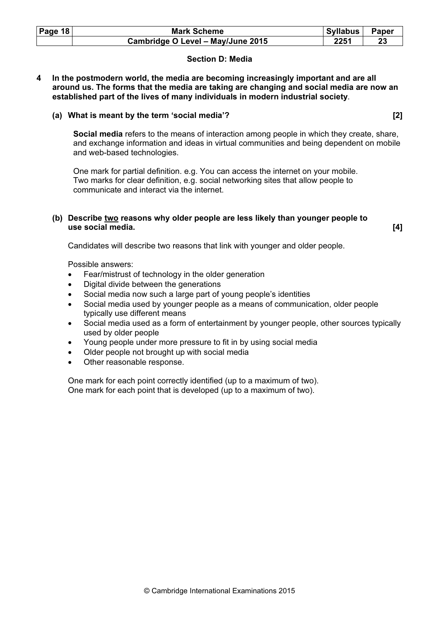| <b>Page 18</b> | <b>Mark Scheme</b>                | Syllabus | <b>Paper</b> |
|----------------|-----------------------------------|----------|--------------|
|                | Cambridge O Level - May/June 2015 | 2251     | 23           |

# Section D: Media

4 In the postmodern world, the media are becoming increasingly important and are all around us. The forms that the media are taking are changing and social media are now an established part of the lives of many individuals in modern industrial society.

# (a) What is meant by the term 'social media'? [2]

Social media refers to the means of interaction among people in which they create, share, and exchange information and ideas in virtual communities and being dependent on mobile and web-based technologies.

One mark for partial definition. e.g. You can access the internet on your mobile. Two marks for clear definition, e.g. social networking sites that allow people to communicate and interact via the internet.

#### (b) Describe two reasons why older people are less likely than younger people to use social media. [4]

Candidates will describe two reasons that link with younger and older people.

Possible answers:

- Fear/mistrust of technology in the older generation
- Digital divide between the generations
- Social media now such a large part of young people's identities
- Social media used by younger people as a means of communication, older people typically use different means
- Social media used as a form of entertainment by younger people, other sources typically used by older people
- Young people under more pressure to fit in by using social media
- Older people not brought up with social media
- Other reasonable response.

One mark for each point correctly identified (up to a maximum of two). One mark for each point that is developed (up to a maximum of two).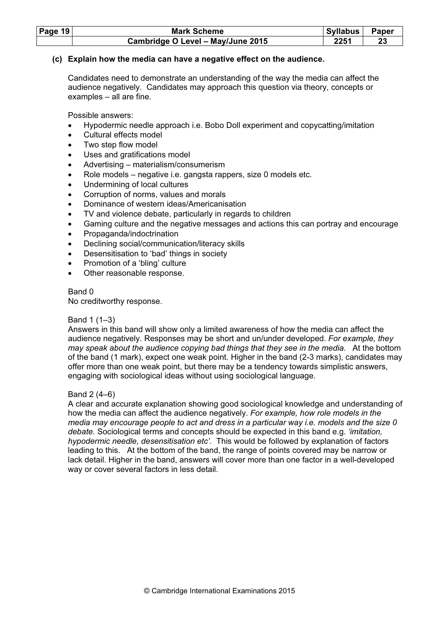| Page 19 | <b>Mark Scheme</b>                | <b>Syllabus</b> | Paper |
|---------|-----------------------------------|-----------------|-------|
|         | Cambridge O Level - May/June 2015 | 2251            |       |

#### (c) Explain how the media can have a negative effect on the audience.

Candidates need to demonstrate an understanding of the way the media can affect the audience negatively. Candidates may approach this question via theory, concepts or examples – all are fine.

Possible answers:

- Hypodermic needle approach i.e. Bobo Doll experiment and copycatting/imitation
- Cultural effects model
- Two step flow model
- Uses and gratifications model
- Advertising materialism/consumerism
- Role models negative i.e. gangsta rappers, size 0 models etc.
- Undermining of local cultures
- Corruption of norms, values and morals
- Dominance of western ideas/Americanisation
- TV and violence debate, particularly in regards to children
- Gaming culture and the negative messages and actions this can portray and encourage
- Propaganda/indoctrination
- Declining social/communication/literacy skills
- Desensitisation to 'bad' things in society
- Promotion of a 'bling' culture
- Other reasonable response.

#### Band 0

No creditworthy response.

#### Band 1 (1–3)

Answers in this band will show only a limited awareness of how the media can affect the audience negatively. Responses may be short and un/under developed. For example, they may speak about the audience copying bad things that they see in the media. At the bottom of the band (1 mark), expect one weak point. Higher in the band (2-3 marks), candidates may offer more than one weak point, but there may be a tendency towards simplistic answers, engaging with sociological ideas without using sociological language.

#### Band 2 (4–6)

A clear and accurate explanation showing good sociological knowledge and understanding of how the media can affect the audience negatively. For example, how role models in the media may encourage people to act and dress in a particular way i.e. models and the size 0 debate. Sociological terms and concepts should be expected in this band e.g. 'imitation, hypodermic needle, desensitisation etc'. This would be followed by explanation of factors leading to this. At the bottom of the band, the range of points covered may be narrow or lack detail. Higher in the band, answers will cover more than one factor in a well-developed way or cover several factors in less detail.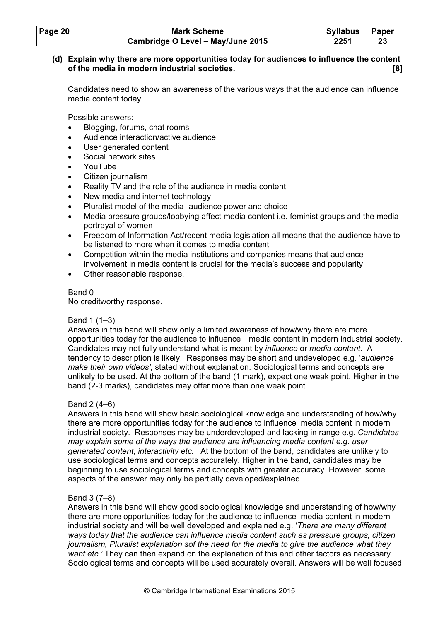| <b>Page 20</b> | <b>Mark Scheme</b>                | <b>Syllabus</b> | Paper |
|----------------|-----------------------------------|-----------------|-------|
|                | Cambridge O Level - May/June 2015 | 2251            |       |

# (d) Explain why there are more opportunities today for audiences to influence the content of the media in modern industrial societies. [8]

 Candidates need to show an awareness of the various ways that the audience can influence media content today.

Possible answers:

- Blogging, forums, chat rooms
- Audience interaction/active audience
- User generated content
- Social network sites
- YouTube
- Citizen journalism
- Reality TV and the role of the audience in media content
- New media and internet technology
- Pluralist model of the media- audience power and choice
- Media pressure groups/lobbying affect media content i.e. feminist groups and the media portrayal of women
- Freedom of Information Act/recent media legislation all means that the audience have to be listened to more when it comes to media content
- Competition within the media institutions and companies means that audience involvement in media content is crucial for the media's success and popularity
- Other reasonable response.

#### Band 0

No creditworthy response.

# Band 1 (1–3)

Answers in this band will show only a limited awareness of how/why there are more opportunities today for the audience to influence media content in modern industrial society. Candidates may not fully understand what is meant by influence or media content. A tendency to description is likely. Responses may be short and undeveloped e.g. 'audience make their own videos', stated without explanation. Sociological terms and concepts are unlikely to be used. At the bottom of the band (1 mark), expect one weak point. Higher in the band (2-3 marks), candidates may offer more than one weak point.

# Band 2 (4–6)

Answers in this band will show basic sociological knowledge and understanding of how/why there are more opportunities today for the audience to influence media content in modern industrial society. Responses may be underdeveloped and lacking in range e.g. Candidates may explain some of the ways the audience are influencing media content e.g. user generated content, interactivity etc. At the bottom of the band, candidates are unlikely to use sociological terms and concepts accurately. Higher in the band, candidates may be beginning to use sociological terms and concepts with greater accuracy. However, some aspects of the answer may only be partially developed/explained.

# Band 3 (7–8)

Answers in this band will show good sociological knowledge and understanding of how/why there are more opportunities today for the audience to influence media content in modern industrial society and will be well developed and explained e.g. 'There are many different ways today that the audience can influence media content such as pressure groups, citizen journalism, Pluralist explanation sof the need for the media to give the audience what they want etc.' They can then expand on the explanation of this and other factors as necessary. Sociological terms and concepts will be used accurately overall. Answers will be well focused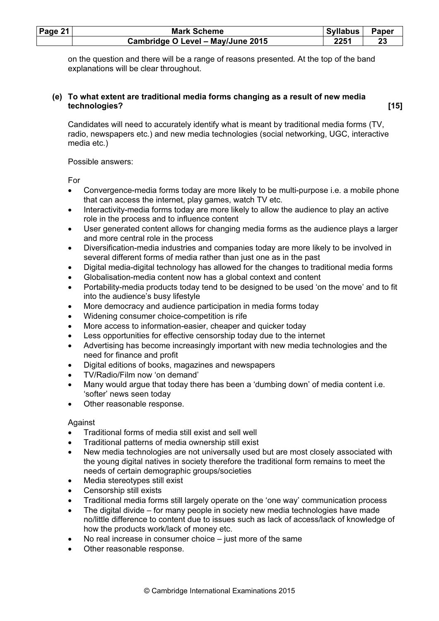| Page $21$ | <b>Mark Scheme</b>                | Syllabus | <b>Paper</b> |
|-----------|-----------------------------------|----------|--------------|
|           | Cambridge O Level - May/June 2015 | 2251     |              |

on the question and there will be a range of reasons presented. At the top of the band explanations will be clear throughout.

# (e) To what extent are traditional media forms changing as a result of new media technologies? [15]

 Candidates will need to accurately identify what is meant by traditional media forms (TV, radio, newspapers etc.) and new media technologies (social networking, UGC, interactive media etc.)

# Possible answers:

For

- Convergence-media forms today are more likely to be multi-purpose i.e. a mobile phone that can access the internet, play games, watch TV etc.
- Interactivity-media forms today are more likely to allow the audience to play an active role in the process and to influence content
- User generated content allows for changing media forms as the audience plays a larger and more central role in the process
- Diversification-media industries and companies today are more likely to be involved in several different forms of media rather than just one as in the past
- Digital media-digital technology has allowed for the changes to traditional media forms
- Globalisation-media content now has a global context and content
- Portability-media products today tend to be designed to be used 'on the move' and to fit into the audience's busy lifestyle
- More democracy and audience participation in media forms today
- Widening consumer choice-competition is rife
- More access to information-easier, cheaper and quicker today
- Less opportunities for effective censorship today due to the internet
- Advertising has become increasingly important with new media technologies and the need for finance and profit
- Digital editions of books, magazines and newspapers
- TV/Radio/Film now 'on demand'
- Many would argue that today there has been a 'dumbing down' of media content i.e. 'softer' news seen today
- Other reasonable response.

# Against

- Traditional forms of media still exist and sell well
- Traditional patterns of media ownership still exist
- New media technologies are not universally used but are most closely associated with the young digital natives in society therefore the traditional form remains to meet the needs of certain demographic groups/societies
- Media stereotypes still exist
- Censorship still exists
- Traditional media forms still largely operate on the 'one way' communication process
- The digital divide for many people in society new media technologies have made no/little difference to content due to issues such as lack of access/lack of knowledge of how the products work/lack of money etc.
- No real increase in consumer choice  $-$  just more of the same
- Other reasonable response.